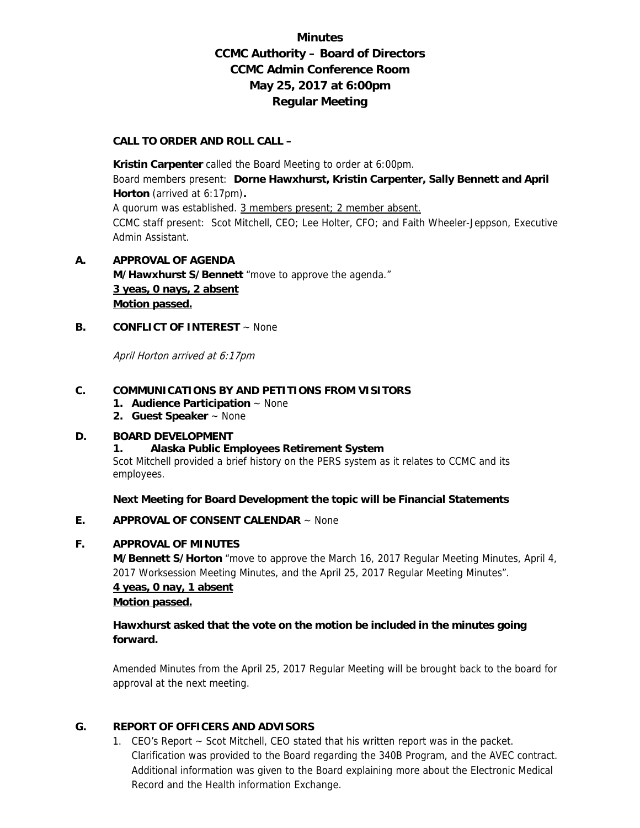# **Minutes CCMC Authority – Board of Directors CCMC Admin Conference Room May 25, 2017 at 6:00pm Regular Meeting**

### **CALL TO ORDER AND ROLL CALL –**

 **Kristin Carpenter** called the Board Meeting to order at 6:00pm. Board members present: **Dorne Hawxhurst, Kristin Carpenter, Sally Bennett and April Horton** (arrived at 6:17pm)**.**  A quorum was established. 3 members present; 2 member absent. CCMC staff present: Scot Mitchell, CEO; Lee Holter, CFO; and Faith Wheeler-Jeppson, Executive Admin Assistant.

# **A. APPROVAL OF AGENDA M/Hawxhurst S/Bennett** "move to approve the agenda." **3 yeas, 0 nays, 2 absent Motion passed.**

## **B. CONFLICT OF INTEREST** ~ None

April Horton arrived at 6:17pm

### **C. COMMUNICATIONS BY AND PETITIONS FROM VISITORS**

- **1. Audience Participation** ~ None
- **2. Guest Speaker** ~ None

### **D. BOARD DEVELOPMENT**

### **1. Alaska Public Employees Retirement System**

Scot Mitchell provided a brief history on the PERS system as it relates to CCMC and its employees.

**Next Meeting for Board Development the topic will be Financial Statements** 

### **E. APPROVAL OF CONSENT CALENDAR** ~ None

### **F. APPROVAL OF MINUTES**

**M/Bennett S/Horton** "move to approve the March 16, 2017 Regular Meeting Minutes, April 4, 2017 Worksession Meeting Minutes, and the April 25, 2017 Regular Meeting Minutes".

# **4 yeas, 0 nay, 1 absent Motion passed.**

## **Hawxhurst asked that the vote on the motion be included in the minutes going forward.**

Amended Minutes from the April 25, 2017 Regular Meeting will be brought back to the board for approval at the next meeting.

### **G. REPORT OF OFFICERS AND ADVISORS**

1. CEO's Report ~ Scot Mitchell, CEO stated that his written report was in the packet. Clarification was provided to the Board regarding the 340B Program, and the AVEC contract. Additional information was given to the Board explaining more about the Electronic Medical Record and the Health information Exchange.